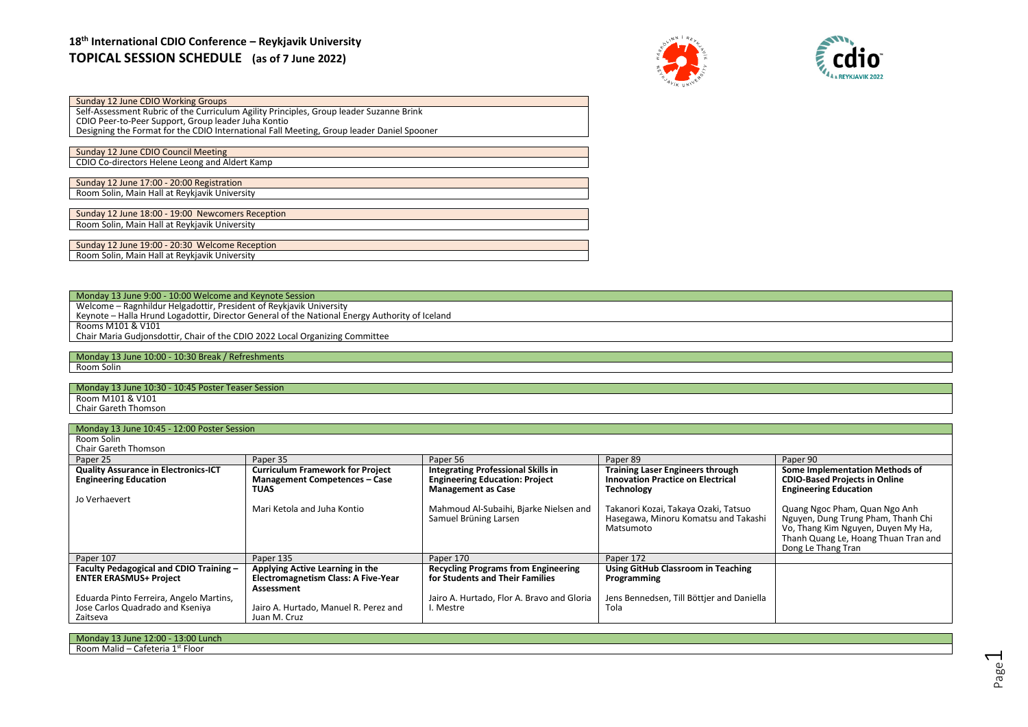# **18th International CDIO Conference – Reykjavik University TOPICAL SESSION SCHEDULE (as of 7 June 2022)**





| Sunday 12 June CDIO Working Groups                                                        |
|-------------------------------------------------------------------------------------------|
| Self-Assessment Rubric of the Curriculum Agility Principles, Group leader Suzanne Brink   |
| CDIO Peer-to-Peer Support, Group leader Juha Kontio                                       |
| Designing the Format for the CDIO International Fall Meeting, Group leader Daniel Spooner |
|                                                                                           |
| Sunday 12 June CDIO Council Meeting                                                       |
| CDIO Co-directors Helene Leong and Aldert Kamp                                            |
|                                                                                           |
| Sunday 12 June 17:00 - 20:00 Registration                                                 |
| Room Solin, Main Hall at Reykjavik University                                             |
|                                                                                           |
| Sunday 12 June 18:00 - 19:00 Newcomers Reception                                          |
| Room Solin, Main Hall at Reykjavik University                                             |
|                                                                                           |
| Sunday 12 June 19:00 - 20:30 Welcome Reception                                            |
| Room Solin, Main Hall at Reykjavik University                                             |
|                                                                                           |

Monday 13 June 9:00 - 10:00 Welcome and Keynote Session Welcome – Ragnhildur Helgadottir, President of Reykjavik University Keynote – Halla Hrund Logadottir, Director General of the National Energy Authority of Iceland Rooms M101 & V101 Chair Maria Gudjonsdottir, Chair of the CDIO 2022 Local Organizing Committee

Monday 13 June 10:00 - 10:30 Break / Refreshments Room Solin

Monday 13 June 10:30 - 10:45 Poster Teaser Session

Room M101 & V101 Chair Gareth Thomson

## Monday 13 June 10:45 - 12:00 Poster Session

|  | Room Solin |  |  |
|--|------------|--|--|
|  |            |  |  |

| <b>Chair Gareth Thomson</b>                                              |                                                                                             |                                                                               |                                                                                           |                                                                                                                                                                         |
|--------------------------------------------------------------------------|---------------------------------------------------------------------------------------------|-------------------------------------------------------------------------------|-------------------------------------------------------------------------------------------|-------------------------------------------------------------------------------------------------------------------------------------------------------------------------|
| Paper 25                                                                 | Paper 35                                                                                    | Paper 56                                                                      | Paper 89                                                                                  | Paper 90                                                                                                                                                                |
| <b>Quality Assurance in Electronics-ICT</b>                              | <b>Curriculum Framework for Project</b>                                                     | <b>Integrating Professional Skills in</b>                                     | <b>Training Laser Engineers through</b>                                                   | Some Implementation Methods of                                                                                                                                          |
| <b>Engineering Education</b>                                             | <b>Management Competences - Case</b>                                                        | <b>Engineering Education: Project</b>                                         | <b>Innovation Practice on Electrical</b>                                                  | <b>CDIO-Based Projects in Online</b>                                                                                                                                    |
|                                                                          | <b>TUAS</b>                                                                                 | <b>Management as Case</b>                                                     | <b>Technology</b>                                                                         | <b>Engineering Education</b>                                                                                                                                            |
| Jo Verhaevert                                                            |                                                                                             |                                                                               |                                                                                           |                                                                                                                                                                         |
|                                                                          | Mari Ketola and Juha Kontio                                                                 | Mahmoud Al-Subaihi, Bjarke Nielsen and<br>Samuel Brüning Larsen               | Takanori Kozai, Takaya Ozaki, Tatsuo<br>Hasegawa, Minoru Komatsu and Takashi<br>Matsumoto | Quang Ngoc Pham, Quan Ngo Anh<br>Nguyen, Dung Trung Pham, Thanh Chi<br>Vo, Thang Kim Nguyen, Duyen My Ha,<br>Thanh Quang Le, Hoang Thuan Tran and<br>Dong Le Thang Tran |
| Paper 107                                                                | Paper 135                                                                                   | Paper 170                                                                     | Paper 172                                                                                 |                                                                                                                                                                         |
| Faculty Pedagogical and CDIO Training -<br><b>ENTER ERASMUS+ Project</b> | Applying Active Learning in the<br><b>Electromagnetism Class: A Five-Year</b><br>Assessment | <b>Recycling Programs from Engineering</b><br>for Students and Their Families | Using GitHub Classroom in Teaching<br>Programming                                         |                                                                                                                                                                         |
| Eduarda Pinto Ferreira, Angelo Martins,                                  |                                                                                             | Jairo A. Hurtado, Flor A. Bravo and Gloria                                    | Jens Bennedsen, Till Böttjer and Daniella                                                 |                                                                                                                                                                         |
| Jose Carlos Quadrado and Kseniya                                         | Jairo A. Hurtado, Manuel R. Perez and                                                       | l. Mestre                                                                     | Tola                                                                                      |                                                                                                                                                                         |
| Zaitseva                                                                 | Juan M. Cruz                                                                                |                                                                               |                                                                                           |                                                                                                                                                                         |

| 13:00 Lunch<br>Mono <sub>n</sub><br>$-12:00^{-7}$<br>aune <sub>.</sub> |  |
|------------------------------------------------------------------------|--|
| - Floor<br>- Room Malid<br>-afeteria 1                                 |  |
|                                                                        |  |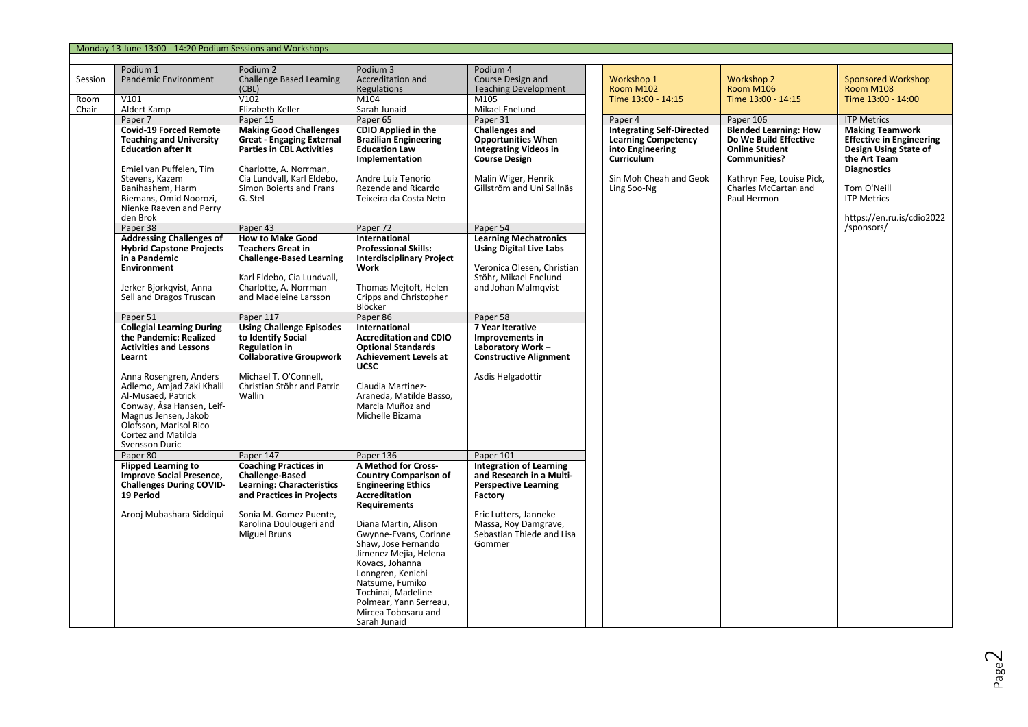|                 | Monday 13 June 13:00 - 14:20 Podium Sessions and Workshops |                                                      |                                              |                                                              |
|-----------------|------------------------------------------------------------|------------------------------------------------------|----------------------------------------------|--------------------------------------------------------------|
| Session         | Podium 1<br><b>Pandemic Environment</b>                    | Podium 2<br><b>Challenge Based Learning</b><br>(CBL) | Podium 3<br>Accreditation and<br>Regulations | Podium 4<br>Course Design and<br><b>Teaching Development</b> |
| Room<br>$C = 1$ | V101<br>$A \cup A$ and $A \cup A$                          | V102<br>Elizabeth Malley                             | M104<br>Canada tomatal                       | M105<br>Additional Franchise all                             |

| Session | Pandemic Environment                                                                                                                                                                                                                                                                                      | Challenge Based Learning<br>(CBL)                                                                                                                                                                   | Accreditation and<br>Regulations                                                                                                                                                                                                                                                                                                                                                          | Course Design and<br><b>Teaching Development</b>                                                                                                                                             | Workshop 1<br>Room M102                                                                                                                   | <b>Workshop 2</b><br>Room M106                                                                                                                                            | Sponsored Workshop<br>Room M108                                                                                                                                                            |
|---------|-----------------------------------------------------------------------------------------------------------------------------------------------------------------------------------------------------------------------------------------------------------------------------------------------------------|-----------------------------------------------------------------------------------------------------------------------------------------------------------------------------------------------------|-------------------------------------------------------------------------------------------------------------------------------------------------------------------------------------------------------------------------------------------------------------------------------------------------------------------------------------------------------------------------------------------|----------------------------------------------------------------------------------------------------------------------------------------------------------------------------------------------|-------------------------------------------------------------------------------------------------------------------------------------------|---------------------------------------------------------------------------------------------------------------------------------------------------------------------------|--------------------------------------------------------------------------------------------------------------------------------------------------------------------------------------------|
| Room    | V101                                                                                                                                                                                                                                                                                                      | V102                                                                                                                                                                                                | M104                                                                                                                                                                                                                                                                                                                                                                                      | M105                                                                                                                                                                                         | Time 13:00 - 14:15                                                                                                                        | Time 13:00 - 14:15                                                                                                                                                        | Time 13:00 - 14:00                                                                                                                                                                         |
| Chair   | Aldert Kamp                                                                                                                                                                                                                                                                                               | Elizabeth Keller                                                                                                                                                                                    | Sarah Junaid                                                                                                                                                                                                                                                                                                                                                                              | Mikael Enelund                                                                                                                                                                               |                                                                                                                                           |                                                                                                                                                                           |                                                                                                                                                                                            |
|         | Paper 7                                                                                                                                                                                                                                                                                                   | Paper 15                                                                                                                                                                                            | Paper 65                                                                                                                                                                                                                                                                                                                                                                                  | Paper 31                                                                                                                                                                                     | Paper 4                                                                                                                                   | Paper 106                                                                                                                                                                 | <b>ITP Metrics</b>                                                                                                                                                                         |
|         | <b>Covid-19 Forced Remote</b><br><b>Teaching and University</b><br><b>Education after It</b><br>Emiel van Puffelen, Tim<br>Stevens, Kazem<br>Banihashem, Harm<br>Biemans, Omid Noorozi,<br>Nienke Raeven and Perry<br>den Brok                                                                            | <b>Making Good Challenges</b><br><b>Great - Engaging External</b><br><b>Parties in CBL Activities</b><br>Charlotte, A. Norrman,<br>Cia Lundvall, Karl Eldebo,<br>Simon Boierts and Frans<br>G. Stel | <b>CDIO Applied in the</b><br><b>Brazilian Engineering</b><br><b>Education Law</b><br>Implementation<br>Andre Luiz Tenorio<br>Rezende and Ricardo<br>Teixeira da Costa Neto                                                                                                                                                                                                               | <b>Challenges and</b><br><b>Opportunities When</b><br><b>Integrating Videos in</b><br><b>Course Design</b><br>Malin Wiger, Henrik<br>Gillström and Uni Sallnäs                               | <b>Integrating Self-Directed</b><br><b>Learning Competency</b><br>into Engineering<br>Curriculum<br>Sin Moh Cheah and Geok<br>Ling Soo-Ng | <b>Blended Learning: How</b><br>Do We Build Effective<br><b>Online Student</b><br><b>Communities?</b><br>Kathryn Fee, Louise Pick,<br>Charles McCartan and<br>Paul Hermon | <b>Making Teamwork</b><br><b>Effective in Engineering</b><br>Design Using State of<br>the Art Team<br><b>Diagnostics</b><br>Tom O'Neill<br><b>ITP Metrics</b><br>https://en.ru.is/cdio2022 |
|         | Paper 38                                                                                                                                                                                                                                                                                                  | Paper 43                                                                                                                                                                                            | Paper 72                                                                                                                                                                                                                                                                                                                                                                                  | Paper 54                                                                                                                                                                                     |                                                                                                                                           |                                                                                                                                                                           | /sponsors/                                                                                                                                                                                 |
|         | <b>Addressing Challenges of</b><br><b>Hybrid Capstone Projects</b><br>in a Pandemic<br>Environment<br>Jerker Bjorkqvist, Anna<br>Sell and Dragos Truscan                                                                                                                                                  | <b>How to Make Good</b><br><b>Teachers Great in</b><br><b>Challenge-Based Learning</b><br>Karl Eldebo, Cia Lundvall,<br>Charlotte, A. Norrman<br>and Madeleine Larsson                              | International<br><b>Professional Skills:</b><br><b>Interdisciplinary Project</b><br>Work<br>Thomas Mejtoft, Helen<br>Cripps and Christopher<br>Blöcker                                                                                                                                                                                                                                    | <b>Learning Mechatronics</b><br><b>Using Digital Live Labs</b><br>Veronica Olesen, Christian<br>Stöhr, Mikael Enelund<br>and Johan Malmqvist                                                 |                                                                                                                                           |                                                                                                                                                                           |                                                                                                                                                                                            |
|         | Paper 51                                                                                                                                                                                                                                                                                                  | Paper 117                                                                                                                                                                                           | Paper 86                                                                                                                                                                                                                                                                                                                                                                                  | Paper 58                                                                                                                                                                                     |                                                                                                                                           |                                                                                                                                                                           |                                                                                                                                                                                            |
|         | <b>Collegial Learning During</b><br>the Pandemic: Realized<br><b>Activities and Lessons</b><br>Learnt<br>Anna Rosengren, Anders<br>Adlemo, Amjad Zaki Khalil<br>Al-Musaed, Patrick<br>Conway, Åsa Hansen, Leif-<br>Magnus Jensen, Jakob<br>Olofsson, Marisol Rico<br>Cortez and Matilda<br>Svensson Duric | <b>Using Challenge Episodes</b><br>to Identify Social<br><b>Regulation in</b><br><b>Collaborative Groupwork</b><br>Michael T. O'Connell,<br>Christian Stöhr and Patric<br>Wallin                    | International<br><b>Accreditation and CDIO</b><br><b>Optional Standards</b><br><b>Achievement Levels at</b><br><b>UCSC</b><br>Claudia Martinez-<br>Araneda, Matilde Basso,<br>Marcia Muñoz and<br>Michelle Bizama                                                                                                                                                                         | 7 Year Iterative<br>Improvements in<br>Laboratory Work-<br><b>Constructive Alignment</b><br>Asdis Helgadottir                                                                                |                                                                                                                                           |                                                                                                                                                                           |                                                                                                                                                                                            |
|         | Paper 80                                                                                                                                                                                                                                                                                                  | Paper 147                                                                                                                                                                                           | Paper 136                                                                                                                                                                                                                                                                                                                                                                                 | Paper 101                                                                                                                                                                                    |                                                                                                                                           |                                                                                                                                                                           |                                                                                                                                                                                            |
|         | <b>Flipped Learning to</b><br><b>Improve Social Presence,</b><br><b>Challenges During COVID-</b><br>19 Period<br>Arooj Mubashara Siddiqui                                                                                                                                                                 | <b>Coaching Practices in</b><br><b>Challenge-Based</b><br><b>Learning: Characteristics</b><br>and Practices in Projects<br>Sonia M. Gomez Puente,<br>Karolina Doulougeri and<br>Miguel Bruns        | <b>A Method for Cross-</b><br><b>Country Comparison of</b><br><b>Engineering Ethics</b><br><b>Accreditation</b><br><b>Requirements</b><br>Diana Martin, Alison<br>Gwynne-Evans, Corinne<br>Shaw, Jose Fernando<br>Jimenez Mejia, Helena<br>Kovacs, Johanna<br>Lonngren, Kenichi<br>Natsume, Fumiko<br>Tochinai, Madeline<br>Polmear, Yann Serreau,<br>Mircea Tobosaru and<br>Sarah Junaid | <b>Integration of Learning</b><br>and Research in a Multi-<br><b>Perspective Learning</b><br>Factory<br>Eric Lutters, Janneke<br>Massa, Roy Damgrave,<br>Sebastian Thiede and Lisa<br>Gommer |                                                                                                                                           |                                                                                                                                                                           |                                                                                                                                                                                            |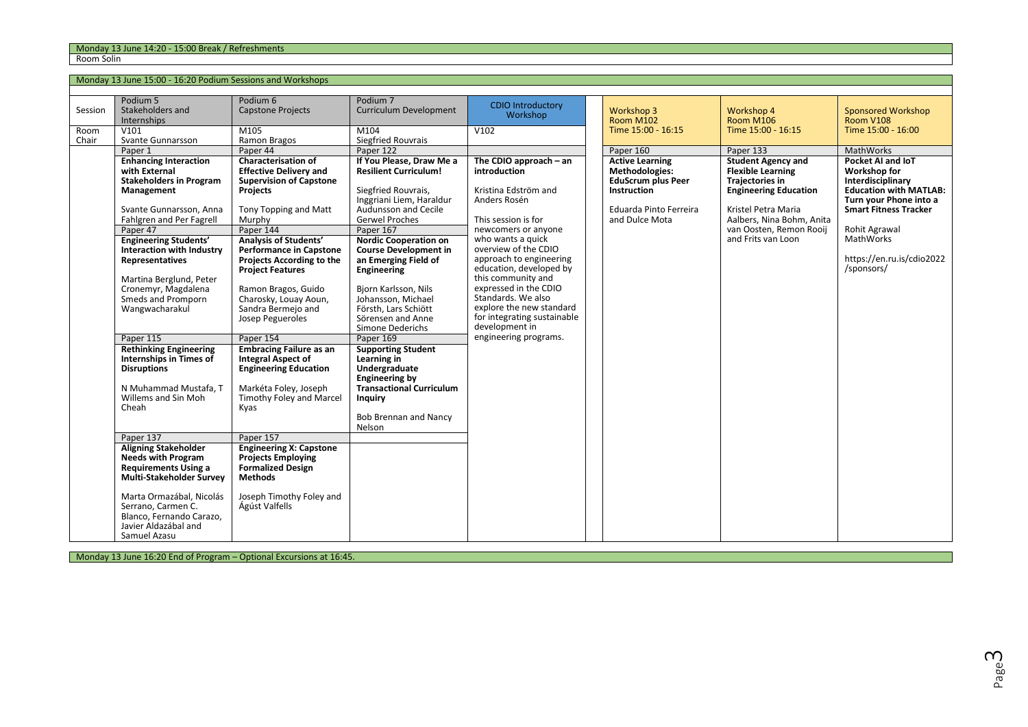Monday 13 June 15:00 - 16:20 Podium Sessions and Workshops

| Session<br>Room | Podium 5<br>Stakeholders and<br>Internships<br>V101                                                                                                                                                                                                                                                                                                                                                                                                                                                                                                                                                                                                                                                | Podium 6<br><b>Capstone Projects</b><br>M105                                                                                                                                                                                                                                                                                                                                                                                                                                                                                                                                                                                                                                                                                                    | Podium 7<br>Curriculum Development<br>M104                                                                                                                                                                                                                                                                                                                                                                                                                                                                                                                                                                                           | <b>CDIO Introductory</b><br>Workshop<br>V102                                                                                                                                                                                                                                                                                                                                                                 | <b>Workshop 3</b><br><b>Room M102</b><br>Time 15:00 - 16:15                                                                                                 | <b>Workshop 4</b><br>Room M106<br>Time 15:00 - 16:15                                                                                                                                                                              | <b>Sponsored Workshop</b><br>Room V108<br>Time 15:00 - 16:00                                                                                                                                                                            |
|-----------------|----------------------------------------------------------------------------------------------------------------------------------------------------------------------------------------------------------------------------------------------------------------------------------------------------------------------------------------------------------------------------------------------------------------------------------------------------------------------------------------------------------------------------------------------------------------------------------------------------------------------------------------------------------------------------------------------------|-------------------------------------------------------------------------------------------------------------------------------------------------------------------------------------------------------------------------------------------------------------------------------------------------------------------------------------------------------------------------------------------------------------------------------------------------------------------------------------------------------------------------------------------------------------------------------------------------------------------------------------------------------------------------------------------------------------------------------------------------|--------------------------------------------------------------------------------------------------------------------------------------------------------------------------------------------------------------------------------------------------------------------------------------------------------------------------------------------------------------------------------------------------------------------------------------------------------------------------------------------------------------------------------------------------------------------------------------------------------------------------------------|--------------------------------------------------------------------------------------------------------------------------------------------------------------------------------------------------------------------------------------------------------------------------------------------------------------------------------------------------------------------------------------------------------------|-------------------------------------------------------------------------------------------------------------------------------------------------------------|-----------------------------------------------------------------------------------------------------------------------------------------------------------------------------------------------------------------------------------|-----------------------------------------------------------------------------------------------------------------------------------------------------------------------------------------------------------------------------------------|
|                 |                                                                                                                                                                                                                                                                                                                                                                                                                                                                                                                                                                                                                                                                                                    |                                                                                                                                                                                                                                                                                                                                                                                                                                                                                                                                                                                                                                                                                                                                                 |                                                                                                                                                                                                                                                                                                                                                                                                                                                                                                                                                                                                                                      |                                                                                                                                                                                                                                                                                                                                                                                                              |                                                                                                                                                             |                                                                                                                                                                                                                                   |                                                                                                                                                                                                                                         |
| Chair           | Svante Gunnarsson<br>Paper 1<br><b>Enhancing Interaction</b><br>with External<br><b>Stakeholders in Program</b><br>Management<br>Svante Gunnarsson, Anna<br>Fahlgren and Per Fagrell<br>Paper 47<br><b>Engineering Students'</b><br>Interaction with Industry<br>Representatives<br>Martina Berglund, Peter<br>Cronemyr, Magdalena<br>Smeds and Promporn<br>Wangwacharakul<br>Paper 115<br><b>Rethinking Engineering</b><br>Internships in Times of<br><b>Disruptions</b><br>N Muhammad Mustafa. T<br>Willems and Sin Moh<br>Cheah<br>Paper 137<br><b>Aligning Stakeholder</b><br><b>Needs with Program</b><br><b>Requirements Using a</b><br>Multi-Stakeholder Survey<br>Marta Ormazábal, Nicolás | Ramon Bragos<br>Paper 44<br><b>Characterisation of</b><br><b>Effective Delivery and</b><br><b>Supervision of Capstone</b><br><b>Projects</b><br>Tony Topping and Matt<br>Murphy<br>Paper 144<br><b>Analysis of Students'</b><br><b>Performance in Capstone</b><br>Projects According to the<br><b>Project Features</b><br>Ramon Bragos, Guido<br>Charosky, Louay Aoun,<br>Sandra Bermejo and<br>Josep Pegueroles<br>Paper 154<br><b>Embracing Failure as an</b><br><b>Integral Aspect of</b><br><b>Engineering Education</b><br>Markéta Foley, Joseph<br>Timothy Foley and Marcel<br>Kyas<br>Paper 157<br><b>Engineering X: Capstone</b><br><b>Projects Employing</b><br><b>Formalized Design</b><br><b>Methods</b><br>Joseph Timothy Foley and | <b>Siegfried Rouvrais</b><br>Paper 122<br>If You Please, Draw Me a<br><b>Resilient Curriculum!</b><br>Siegfried Rouvrais,<br>Inggriani Liem, Haraldur<br>Audunsson and Cecile<br><b>Gerwel Proches</b><br>Paper 167<br><b>Nordic Cooperation on</b><br><b>Course Development in</b><br>an Emerging Field of<br>Engineering<br>Bjorn Karlsson, Nils<br>Johansson, Michael<br>Försth, Lars Schiött<br>Sörensen and Anne<br>Simone Dederichs<br>Paper 169<br><b>Supporting Student</b><br>Learning in<br>Undergraduate<br><b>Engineering by</b><br><b>Transactional Curriculum</b><br>Inquiry<br><b>Bob Brennan and Nancy</b><br>Nelson | The CDIO approach $-$ an<br>introduction<br>Kristina Edström and<br>Anders Rosén<br>This session is for<br>newcomers or anyone<br>who wants a quick<br>overview of the CDIO<br>approach to engineering<br>education, developed by<br>this community and<br>expressed in the CDIO<br>Standards. We also<br>explore the new standard<br>for integrating sustainable<br>development in<br>engineering programs. | Paper 160<br><b>Active Learning</b><br><b>Methodologies:</b><br><b>EduScrum plus Peer</b><br><b>Instruction</b><br>Eduarda Pinto Ferreira<br>and Dulce Mota | Paper 133<br><b>Student Agency and</b><br><b>Flexible Learning</b><br><b>Trajectories in</b><br><b>Engineering Education</b><br>Kristel Petra Maria<br>Aalbers, Nina Bohm, Anita<br>van Oosten, Remon Rooij<br>and Frits van Loon | MathWorks<br>Pocket AI and IoT<br>Workshop for<br>Interdisciplinary<br><b>Education with MATLAB:</b><br>Turn your Phone into a<br><b>Smart Fitness Tracker</b><br>Rohit Agrawal<br>MathWorks<br>https://en.ru.is/cdio2022<br>/sponsors/ |
|                 | Serrano, Carmen C.<br>Blanco, Fernando Carazo,<br>Javier Aldazábal and<br>Samuel Azasu                                                                                                                                                                                                                                                                                                                                                                                                                                                                                                                                                                                                             | Ágúst Valfells                                                                                                                                                                                                                                                                                                                                                                                                                                                                                                                                                                                                                                                                                                                                  |                                                                                                                                                                                                                                                                                                                                                                                                                                                                                                                                                                                                                                      |                                                                                                                                                                                                                                                                                                                                                                                                              |                                                                                                                                                             |                                                                                                                                                                                                                                   |                                                                                                                                                                                                                                         |

Monday 13 June 16:20 End of Program – Optional Excursions at 16:45.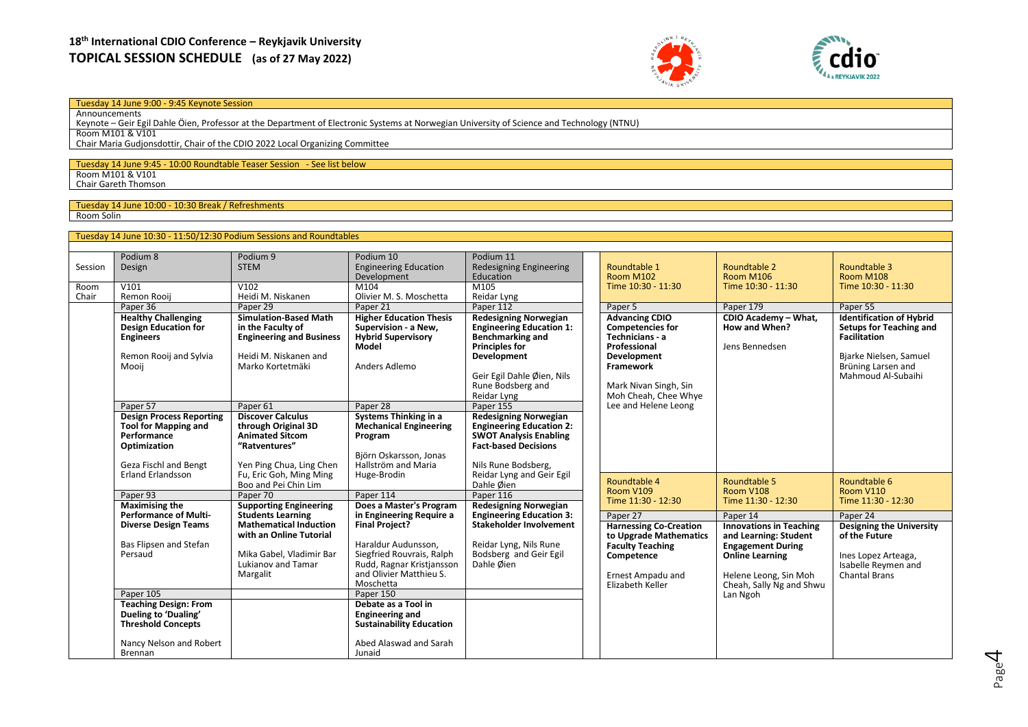



### Tuesday 14 June 9:00 - 9:45 Keynote Session

Announcements Keynote – Geir Egil Dahle Öien, Professor at the Department of Electronic Systems at Norwegian University of Science and Technology (NTNU) Room M101 & V101 Chair Maria Gudjonsdottir, Chair of the CDIO 2022 Local Organizing Committee

# Tuesday 14 June 9:45 - 10:00 Roundtable Teaser Session - See list below

Room M101 & V101 Chair Gareth Thomson

#### Tuesday 14 June 10:00 - 10:30 Break / Refreshments Room Solin

|         | Tuesday 14 June 10:30 - 11:50/12:30 Podium Sessions and Roundtables                                                           |                                                                                                                                                                                                                                                                                                                                                                            |                                                                                                                                                |                                                                                                                                                                                              |                                                                                                                                           |                                                                                                                                                                    |                                                                                                                        |                                                                                                                                                         |  |
|---------|-------------------------------------------------------------------------------------------------------------------------------|----------------------------------------------------------------------------------------------------------------------------------------------------------------------------------------------------------------------------------------------------------------------------------------------------------------------------------------------------------------------------|------------------------------------------------------------------------------------------------------------------------------------------------|----------------------------------------------------------------------------------------------------------------------------------------------------------------------------------------------|-------------------------------------------------------------------------------------------------------------------------------------------|--------------------------------------------------------------------------------------------------------------------------------------------------------------------|------------------------------------------------------------------------------------------------------------------------|---------------------------------------------------------------------------------------------------------------------------------------------------------|--|
|         |                                                                                                                               |                                                                                                                                                                                                                                                                                                                                                                            |                                                                                                                                                |                                                                                                                                                                                              |                                                                                                                                           |                                                                                                                                                                    |                                                                                                                        |                                                                                                                                                         |  |
| Session | Podium 8<br>Design                                                                                                            | Podium 9<br><b>STEM</b>                                                                                                                                                                                                                                                                                                                                                    | Podium 10<br><b>Engineering Education</b><br>Development                                                                                       | Podium 11<br>Redesigning Engineering<br>Education                                                                                                                                            | Roundtable 1<br><b>Room M102</b>                                                                                                          | Roundtable 2<br><b>Room M106</b>                                                                                                                                   | Roundtable 3<br><b>Room M108</b>                                                                                       |                                                                                                                                                         |  |
| Room    | V101                                                                                                                          | V102                                                                                                                                                                                                                                                                                                                                                                       | M104                                                                                                                                           | M105                                                                                                                                                                                         | Time 10:30 - 11:30                                                                                                                        | Time 10:30 - 11:30                                                                                                                                                 | Time 10:30 - 11:30                                                                                                     |                                                                                                                                                         |  |
| Chair   | Remon Rooij                                                                                                                   | Heidi M. Niskanen                                                                                                                                                                                                                                                                                                                                                          | Olivier M. S. Moschetta                                                                                                                        | Reidar Lyng                                                                                                                                                                                  |                                                                                                                                           |                                                                                                                                                                    |                                                                                                                        |                                                                                                                                                         |  |
|         | Paper 36                                                                                                                      | Paper 29                                                                                                                                                                                                                                                                                                                                                                   | Paper 21                                                                                                                                       | Paper 112                                                                                                                                                                                    | Paper 5<br><b>Advancing CDIO</b>                                                                                                          | Paper 179                                                                                                                                                          | Paper 55                                                                                                               |                                                                                                                                                         |  |
|         | <b>Healthy Challenging</b><br><b>Design Education for</b><br><b>Engineers</b><br>Remon Rooij and Sylvia<br>Mooij              | <b>Simulation-Based Math</b><br>in the Faculty of<br><b>Engineering and Business</b><br>Heidi M. Niskanen and<br>Marko Kortetmäki                                                                                                                                                                                                                                          | <b>Higher Education Thesis</b><br>Supervision - a New.<br><b>Hybrid Supervisory</b><br>Model<br>Anders Adlemo                                  | <b>Redesigning Norwegian</b><br><b>Engineering Education 1:</b><br><b>Benchmarking and</b><br><b>Principles for</b><br><b>Development</b><br>Geir Egil Dahle Øien. Nils<br>Rune Bodsberg and | Reidar Lyng                                                                                                                               |                                                                                                                                                                    | CDIO Academy - What,<br>How and When?<br>Jens Bennedsen                                                                | <b>Identification of Hybrid</b><br>Setups for Teaching and<br><b>Facilitation</b><br>Bjarke Nielsen, Samuel<br>Brüning Larsen and<br>Mahmoud Al-Subaihi |  |
|         | Paper 57                                                                                                                      | Paper <sub>61</sub>                                                                                                                                                                                                                                                                                                                                                        | Paper 28                                                                                                                                       | Paper 155                                                                                                                                                                                    | Lee and Helene Leong                                                                                                                      |                                                                                                                                                                    |                                                                                                                        |                                                                                                                                                         |  |
|         | <b>Design Process Reporting</b><br><b>Tool for Mapping and</b><br>Performance<br>Optimization<br><b>Geza Fischl and Bengt</b> | <b>Discover Calculus</b><br><b>Systems Thinking in a</b><br><b>Redesigning Norwegian</b><br>through Original 3D<br><b>Mechanical Engineering</b><br><b>Animated Sitcom</b><br><b>SWOT Analysis Enabling</b><br>Program<br>"Ratventures"<br><b>Fact-based Decisions</b><br>Björn Oskarsson, Jonas<br>Yen Ping Chua, Ling Chen<br>Hallström and Maria<br>Nils Rune Bodsberg, | <b>Engineering Education 2:</b>                                                                                                                |                                                                                                                                                                                              |                                                                                                                                           |                                                                                                                                                                    |                                                                                                                        |                                                                                                                                                         |  |
|         | <b>Erland Erlandsson</b>                                                                                                      | Fu, Eric Goh, Ming Ming<br>Boo and Pei Chin Lim                                                                                                                                                                                                                                                                                                                            | Huge-Brodin                                                                                                                                    |                                                                                                                                                                                              | Reidar Lyng and Geir Egil<br>Dahle Øien                                                                                                   | Roundtable 4                                                                                                                                                       | Roundtable 5                                                                                                           | Roundtable 6                                                                                                                                            |  |
|         | Paper 93                                                                                                                      | Paper 70                                                                                                                                                                                                                                                                                                                                                                   | Paper 114                                                                                                                                      | Paper 116                                                                                                                                                                                    | <b>Room V109</b><br>Time 11:30 - 12:30                                                                                                    | Room V108                                                                                                                                                          | <b>Room V110</b>                                                                                                       |                                                                                                                                                         |  |
|         | <b>Maximising the</b>                                                                                                         | <b>Supporting Engineering</b>                                                                                                                                                                                                                                                                                                                                              | Does a Master's Program                                                                                                                        | <b>Redesigning Norwegian</b>                                                                                                                                                                 |                                                                                                                                           | Time 11:30 - 12:30                                                                                                                                                 | Time 11:30 - 12:30                                                                                                     |                                                                                                                                                         |  |
|         | <b>Performance of Multi-</b>                                                                                                  | <b>Students Learning</b>                                                                                                                                                                                                                                                                                                                                                   | in Engineering Require a                                                                                                                       | <b>Engineering Education 3:</b>                                                                                                                                                              | Paper 27                                                                                                                                  | Paper 14                                                                                                                                                           | Paper 24                                                                                                               |                                                                                                                                                         |  |
|         | <b>Diverse Design Teams</b><br>Bas Flipsen and Stefan<br>Persaud                                                              | <b>Mathematical Induction</b><br>with an Online Tutorial<br>Mika Gabel, Vladimir Bar<br><b>Lukianov and Tamar</b><br>Margalit                                                                                                                                                                                                                                              | <b>Final Project?</b><br>Haraldur Audunsson,<br>Siegfried Rouvrais, Ralph<br>Rudd, Ragnar Kristjansson<br>and Olivier Matthieu S.<br>Moschetta | <b>Stakeholder Involvement</b><br>Reidar Lyng, Nils Rune<br>Bodsberg and Geir Egil<br>Dahle Øien                                                                                             | <b>Harnessing Co-Creation</b><br>to Upgrade Mathematics<br><b>Faculty Teaching</b><br>Competence<br>Ernest Ampadu and<br>Elizabeth Keller | <b>Innovations in Teaching</b><br>and Learning: Student<br><b>Engagement During</b><br><b>Online Learning</b><br>Helene Leong, Sin Moh<br>Cheah, Sally Ng and Shwu | <b>Designing the University</b><br>of the Future<br>Ines Lopez Arteaga,<br>Isabelle Reymen and<br><b>Chantal Brans</b> |                                                                                                                                                         |  |
|         | Paper 105                                                                                                                     |                                                                                                                                                                                                                                                                                                                                                                            | Paper 150                                                                                                                                      |                                                                                                                                                                                              |                                                                                                                                           | Lan Ngoh                                                                                                                                                           |                                                                                                                        |                                                                                                                                                         |  |
|         | <b>Teaching Design: From</b><br>Dueling to 'Dualing'<br><b>Threshold Concepts</b>                                             |                                                                                                                                                                                                                                                                                                                                                                            | Debate as a Tool in<br><b>Engineering and</b><br><b>Sustainability Education</b>                                                               |                                                                                                                                                                                              |                                                                                                                                           |                                                                                                                                                                    |                                                                                                                        |                                                                                                                                                         |  |
|         | Nancy Nelson and Robert<br><b>Brennan</b>                                                                                     |                                                                                                                                                                                                                                                                                                                                                                            | Abed Alaswad and Sarah<br>Junaid                                                                                                               |                                                                                                                                                                                              |                                                                                                                                           |                                                                                                                                                                    |                                                                                                                        |                                                                                                                                                         |  |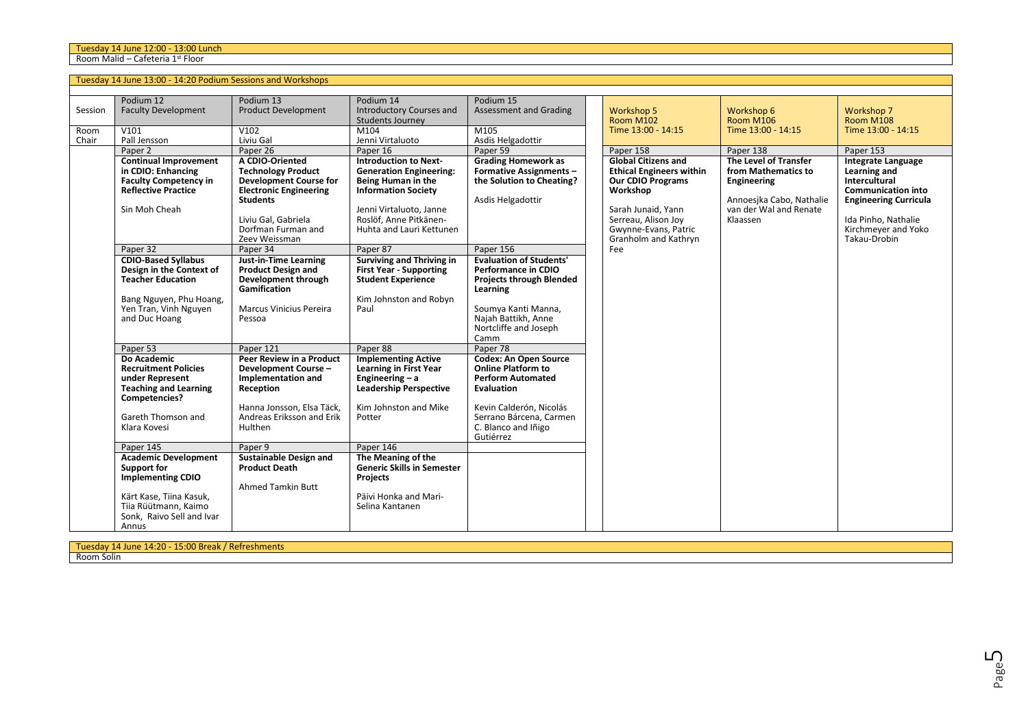Room Malid – Cafeteria 1st Floor

|               | Tuesday 14 June 13:00 - 14:20 Podium Sessions and Workshops                                                                                                                                                                                                                                                                     |                                                                                                                                                                                                                                                                                                                                                                        |                                                                                                                                                                                                                                                                                                                                                                              |                                                                                                                                                                                                                                                                                                                                            |                                                                                                                                                                                                                        |                                                                                                                                                   |                                                                                                                                                                                                    |
|---------------|---------------------------------------------------------------------------------------------------------------------------------------------------------------------------------------------------------------------------------------------------------------------------------------------------------------------------------|------------------------------------------------------------------------------------------------------------------------------------------------------------------------------------------------------------------------------------------------------------------------------------------------------------------------------------------------------------------------|------------------------------------------------------------------------------------------------------------------------------------------------------------------------------------------------------------------------------------------------------------------------------------------------------------------------------------------------------------------------------|--------------------------------------------------------------------------------------------------------------------------------------------------------------------------------------------------------------------------------------------------------------------------------------------------------------------------------------------|------------------------------------------------------------------------------------------------------------------------------------------------------------------------------------------------------------------------|---------------------------------------------------------------------------------------------------------------------------------------------------|----------------------------------------------------------------------------------------------------------------------------------------------------------------------------------------------------|
| Session       | Podium 12<br><b>Faculty Development</b>                                                                                                                                                                                                                                                                                         | Podium 13<br><b>Product Development</b>                                                                                                                                                                                                                                                                                                                                | Podium 14<br><b>Introductory Courses and</b><br>Students Journey                                                                                                                                                                                                                                                                                                             | Podium 15<br><b>Assessment and Grading</b>                                                                                                                                                                                                                                                                                                 | <b>Workshop 5</b><br>Room M102                                                                                                                                                                                         | Workshop 6<br>Room M106                                                                                                                           | Workshop 7<br>Room M108                                                                                                                                                                            |
| Room<br>Chair | V101<br>Pall Jensson                                                                                                                                                                                                                                                                                                            | V102<br>Liviu Gal                                                                                                                                                                                                                                                                                                                                                      | M104<br>Jenni Virtaluoto                                                                                                                                                                                                                                                                                                                                                     | M <sub>105</sub><br>Asdis Helgadottir                                                                                                                                                                                                                                                                                                      | Time 13:00 - 14:15                                                                                                                                                                                                     | Time 13:00 - 14:15                                                                                                                                | Time 13:00 - 14:15                                                                                                                                                                                 |
|               | Paper 2<br><b>Continual Improvement</b><br>in CDIO: Enhancing<br><b>Faculty Competency in</b><br><b>Reflective Practice</b><br>Sin Moh Cheah<br>Paper 32<br><b>CDIO-Based Syllabus</b><br>Design in the Context of<br><b>Teacher Education</b><br>Bang Nguyen, Phu Hoang,<br>Yen Tran, Vinh Nguyen<br>and Duc Hoang<br>Paper 53 | Paper 26<br>A CDIO-Oriented<br><b>Technology Product</b><br><b>Development Course for</b><br><b>Electronic Engineering</b><br><b>Students</b><br>Liviu Gal, Gabriela<br>Dorfman Furman and<br>Zeev Weissman<br>Paper 34<br>Just-in-Time Learning<br><b>Product Design and</b><br>Development through<br>Gamification<br>Marcus Vinicius Pereira<br>Pessoa<br>Paper 121 | Paper 16<br><b>Introduction to Next-</b><br><b>Generation Engineering:</b><br>Being Human in the<br><b>Information Society</b><br>Jenni Virtaluoto, Janne<br>Roslöf, Anne Pitkänen-<br>Huhta and Lauri Kettunen<br>Paper 87<br><b>Surviving and Thriving in</b><br><b>First Year - Supporting</b><br><b>Student Experience</b><br>Kim Johnston and Robyn<br>Paul<br>Paper 88 | Paper 59<br><b>Grading Homework as</b><br><b>Formative Assignments -</b><br>the Solution to Cheating?<br>Asdis Helgadottir<br>Paper 156<br><b>Evaluation of Students'</b><br>Performance in CDIO<br><b>Projects through Blended</b><br>Learning<br>Soumya Kanti Manna,<br>Najah Battikh, Anne<br>Nortcliffe and Joseph<br>Camm<br>Paper 78 | Paper 158<br><b>Global Citizens and</b><br><b>Ethical Engineers within</b><br><b>Our CDIO Programs</b><br>Workshop<br>Sarah Junaid, Yann<br>Serreau, Alison Joy<br>Gwynne-Evans, Patric<br>Granholm and Kathryn<br>Fee | Paper 138<br>The Level of Transfer<br>from Mathematics to<br><b>Engineering</b><br>Annoesika Cabo, Nathalie<br>van der Wal and Renate<br>Klaassen | Paper 153<br><b>Integrate Language</b><br>Learning and<br>Intercultural<br><b>Communication into</b><br><b>Engineering Curricula</b><br>Ida Pinho, Nathalie<br>Kirchmeyer and Yoko<br>Takau-Drobin |
|               | Do Academic<br><b>Recruitment Policies</b><br>under Represent<br><b>Teaching and Learning</b><br>Competencies?<br>Gareth Thomson and<br>Klara Kovesi<br>Paper 145<br><b>Academic Development</b><br>Support for<br><b>Implementing CDIO</b><br>Kärt Kase, Tiina Kasuk,<br>Tiia Rüütmann, Kaimo<br>Sonk, Raivo Sell and Ivar     | Peer Review in a Product<br>Development Course -<br>Implementation and<br>Reception<br>Hanna Jonsson, Elsa Täck.<br>Andreas Eriksson and Erik<br>Hulthen<br>Paper 9<br><b>Sustainable Design and</b><br><b>Product Death</b><br><b>Ahmed Tamkin Butt</b>                                                                                                               | <b>Implementing Active</b><br><b>Learning in First Year</b><br>Engineering $- a$<br><b>Leadership Perspective</b><br>Kim Johnston and Mike<br>Potter<br>Paper 146<br>The Meaning of the<br><b>Generic Skills in Semester</b><br>Projects<br>Päivi Honka and Mari-<br>Selina Kantanen                                                                                         | <b>Codex: An Open Source</b><br><b>Online Platform to</b><br><b>Perform Automated</b><br><b>Evaluation</b><br>Kevin Calderón, Nicolás<br>Serrano Bárcena, Carmen<br>C. Blanco and Iñigo<br>Gutiérrez                                                                                                                                       |                                                                                                                                                                                                                        |                                                                                                                                                   |                                                                                                                                                                                                    |

Tuesday 14 June 14:20 - 15:00 Break / Refreshments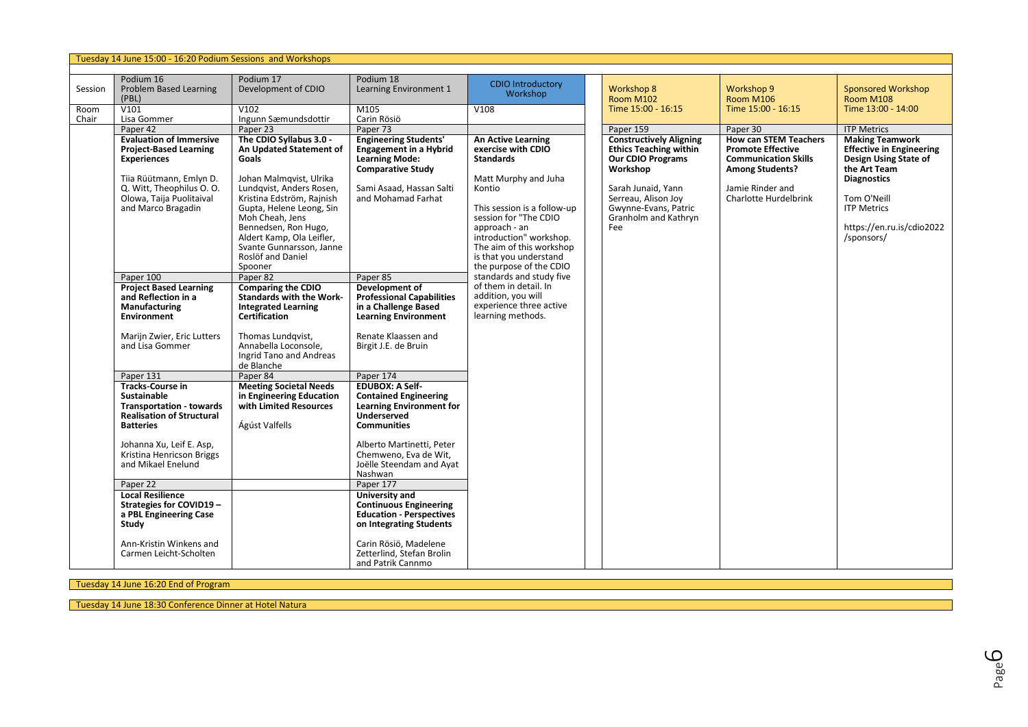|         | Tuesday 14 June 15:00 - 16:20 Podium Sessions and Workshops                                                                                                                                                                         |                                                                                                                                                                                                                                                                                      |                                                                                                                                                                                                                                                 |                                                                                                                                                                                                                                                               |                                                                                                                                                                           |                                                                                                                                |                                                                                                                                                                                |
|---------|-------------------------------------------------------------------------------------------------------------------------------------------------------------------------------------------------------------------------------------|--------------------------------------------------------------------------------------------------------------------------------------------------------------------------------------------------------------------------------------------------------------------------------------|-------------------------------------------------------------------------------------------------------------------------------------------------------------------------------------------------------------------------------------------------|---------------------------------------------------------------------------------------------------------------------------------------------------------------------------------------------------------------------------------------------------------------|---------------------------------------------------------------------------------------------------------------------------------------------------------------------------|--------------------------------------------------------------------------------------------------------------------------------|--------------------------------------------------------------------------------------------------------------------------------------------------------------------------------|
|         |                                                                                                                                                                                                                                     |                                                                                                                                                                                                                                                                                      |                                                                                                                                                                                                                                                 |                                                                                                                                                                                                                                                               |                                                                                                                                                                           |                                                                                                                                |                                                                                                                                                                                |
| Session | Podium 16<br><b>Problem Based Learning</b><br>(PBL)                                                                                                                                                                                 | Podium 17<br>Development of CDIO                                                                                                                                                                                                                                                     | Podium 18<br>Learning Environment 1                                                                                                                                                                                                             | <b>CDIO Introductory</b><br>Workshop                                                                                                                                                                                                                          | Workshop 8<br><b>Room M102</b>                                                                                                                                            | Workshop 9<br><b>Room M106</b>                                                                                                 | <b>Sponsored Workshop</b><br>Room M108                                                                                                                                         |
| Room    | V101                                                                                                                                                                                                                                | V102                                                                                                                                                                                                                                                                                 | M105                                                                                                                                                                                                                                            | V108                                                                                                                                                                                                                                                          | Time 15:00 - 16:15                                                                                                                                                        | Time 15:00 - 16:15                                                                                                             | Time 13:00 - 14:00                                                                                                                                                             |
| Chair   | Lisa Gommer<br>Paper 42                                                                                                                                                                                                             | Ingunn Sæmundsdottir<br>Paper 23                                                                                                                                                                                                                                                     | Carin Rösiö<br>Paper 73                                                                                                                                                                                                                         |                                                                                                                                                                                                                                                               | Paper 159                                                                                                                                                                 | Paper 30                                                                                                                       | <b>ITP Metrics</b>                                                                                                                                                             |
|         | <b>Evaluation of Immersive</b>                                                                                                                                                                                                      | The CDIO Syllabus 3.0 -                                                                                                                                                                                                                                                              | <b>Engineering Students'</b>                                                                                                                                                                                                                    | <b>An Active Learning</b>                                                                                                                                                                                                                                     | <b>Constructively Aligning</b>                                                                                                                                            | <b>How can STEM Teachers</b>                                                                                                   | <b>Making Teamwork</b>                                                                                                                                                         |
|         | <b>Project-Based Learning</b><br><b>Experiences</b><br>Tiia Rüütmann, Emlyn D.<br>Q. Witt, Theophilus O. O.<br>Olowa, Taija Puolitaival<br>and Marco Bragadin                                                                       | An Updated Statement of<br>Goals<br>Johan Malmqvist, Ulrika<br>Lundqvist, Anders Rosen,<br>Kristina Edström, Rajnish<br>Gupta, Helene Leong, Sin<br>Moh Cheah, Jens<br>Bennedsen, Ron Hugo,<br>Aldert Kamp, Ola Leifler,<br>Svante Gunnarsson, Janne<br>Roslöf and Daniel<br>Spooner | <b>Engagement in a Hybrid</b><br><b>Learning Mode:</b><br><b>Comparative Study</b><br>Sami Asaad, Hassan Salti<br>and Mohamad Farhat                                                                                                            | exercise with CDIO<br><b>Standards</b><br>Matt Murphy and Juha<br>Kontio<br>This session is a follow-up<br>session for "The CDIO<br>approach - an<br>introduction" workshop.<br>The aim of this workshop<br>is that you understand<br>the purpose of the CDIO | <b>Ethics Teaching within</b><br><b>Our CDIO Programs</b><br>Workshop<br>Sarah Junaid, Yann<br>Serreau, Alison Joy<br>Gwynne-Evans, Patric<br>Granholm and Kathryn<br>Fee | <b>Promote Effective</b><br><b>Communication Skills</b><br><b>Among Students?</b><br>Jamie Rinder and<br>Charlotte Hurdelbrink | <b>Effective in Engineering</b><br>Design Using State of<br>the Art Team<br><b>Diagnostics</b><br>Tom O'Neill<br><b>ITP Metrics</b><br>https://en.ru.is/cdio2022<br>/sponsors/ |
|         | Paper 100                                                                                                                                                                                                                           | Paper 82                                                                                                                                                                                                                                                                             | Paper 85                                                                                                                                                                                                                                        | standards and study five                                                                                                                                                                                                                                      |                                                                                                                                                                           |                                                                                                                                |                                                                                                                                                                                |
|         | <b>Project Based Learning</b><br>and Reflection in a<br>Manufacturing<br><b>Environment</b><br>Marijn Zwier, Eric Lutters<br>and Lisa Gommer                                                                                        | <b>Comparing the CDIO</b><br><b>Standards with the Work-</b><br><b>Integrated Learning</b><br>Certification<br>Thomas Lundqvist,<br>Annabella Loconsole,<br>Ingrid Tano and Andreas<br>de Blanche                                                                                    | Development of<br><b>Professional Capabilities</b><br>in a Challenge Based<br><b>Learning Environment</b><br>Renate Klaassen and<br>Birgit J.E. de Bruin                                                                                        | of them in detail. In<br>addition, you will<br>experience three active<br>learning methods.                                                                                                                                                                   |                                                                                                                                                                           |                                                                                                                                |                                                                                                                                                                                |
|         | Paper 131                                                                                                                                                                                                                           | Paper 84                                                                                                                                                                                                                                                                             | Paper 174                                                                                                                                                                                                                                       |                                                                                                                                                                                                                                                               |                                                                                                                                                                           |                                                                                                                                |                                                                                                                                                                                |
|         | <b>Tracks-Course in</b><br><b>Sustainable</b><br><b>Transportation - towards</b><br><b>Realisation of Structural</b><br><b>Batteries</b><br>Johanna Xu, Leif E. Asp,<br>Kristina Henricson Briggs<br>and Mikael Enelund<br>Paper 22 | <b>Meeting Societal Needs</b><br>in Engineering Education<br>with Limited Resources<br>Ágúst Valfells                                                                                                                                                                                | <b>EDUBOX: A Self-</b><br><b>Contained Engineering</b><br><b>Learning Environment for</b><br><b>Underserved</b><br><b>Communities</b><br>Alberto Martinetti, Peter<br>Chemweno, Eva de Wit,<br>Joëlle Steendam and Ayat<br>Nashwan<br>Paper 177 |                                                                                                                                                                                                                                                               |                                                                                                                                                                           |                                                                                                                                |                                                                                                                                                                                |
|         |                                                                                                                                                                                                                                     |                                                                                                                                                                                                                                                                                      |                                                                                                                                                                                                                                                 |                                                                                                                                                                                                                                                               |                                                                                                                                                                           |                                                                                                                                |                                                                                                                                                                                |
|         | <b>Local Resilience</b><br><b>Strategies for COVID19 -</b><br>a PBL Engineering Case<br>Study                                                                                                                                       |                                                                                                                                                                                                                                                                                      | <b>University and</b><br><b>Continuous Engineering</b><br><b>Education - Perspectives</b><br>on Integrating Students                                                                                                                            |                                                                                                                                                                                                                                                               |                                                                                                                                                                           |                                                                                                                                |                                                                                                                                                                                |
|         | Ann-Kristin Winkens and<br>Carmen Leicht-Scholten                                                                                                                                                                                   |                                                                                                                                                                                                                                                                                      | Carin Rösiö, Madelene<br>Zetterlind. Stefan Brolin<br>and Patrik Cannmo                                                                                                                                                                         |                                                                                                                                                                                                                                                               |                                                                                                                                                                           |                                                                                                                                |                                                                                                                                                                                |

Tuesday 14 June 16:20 End of Program

Tuesday 14 June 18:30 Conference Dinner at Hotel Natura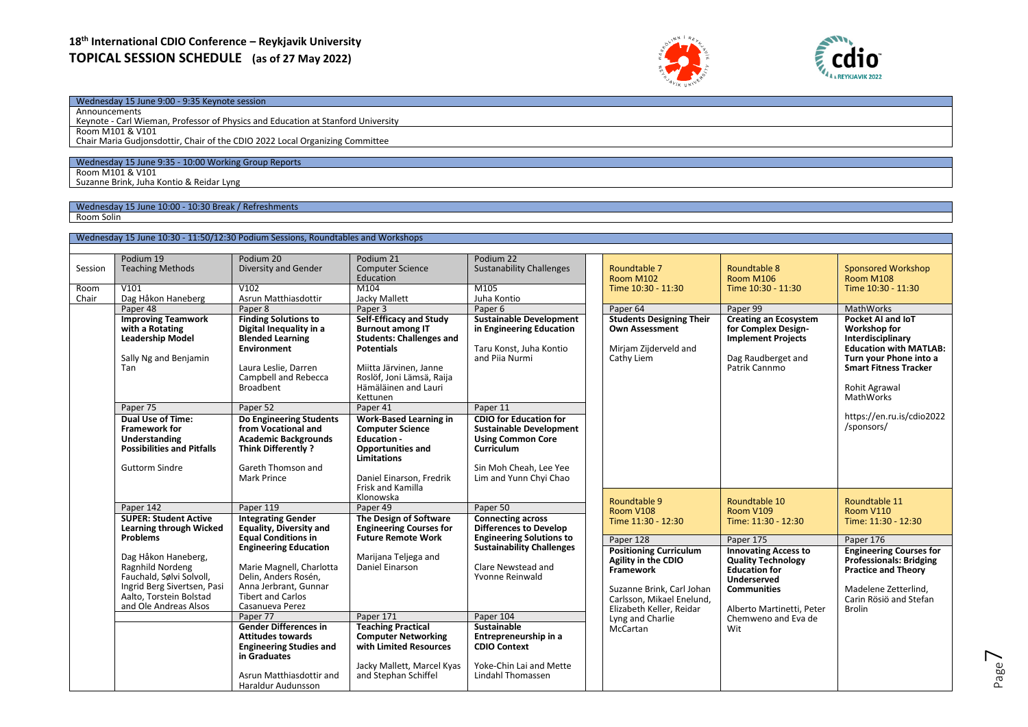# **18th International CDIO Conference – Reykjavik University TOPICAL SESSION SCHEDULE (as of 27 May 2022)**





## Wednesday 15 June 9:00 - 9:35 Keynote session

Announcements Keynote - Carl Wieman, Professor of Physics and Education at Stanford University Room M101 & V101 Chair Maria Gudjonsdottir, Chair of the CDIO 2022 Local Organizing Committee

#### Wednesday 15 June 9:35 - 10:00 Working Group Reports

Room M101 & V101 Suzanne Brink, Juha Kontio & Reidar Lyng

Wednesday 15 June 10:00 - 10:30 Break / Refreshments

Room Solin

|         | Wednesday 15 June 10:30 - 11:50/12:30 Podium Sessions, Roundtables and Workshops |                                               |                                      |                                           |  |                                              |                                                  |                                                         |
|---------|----------------------------------------------------------------------------------|-----------------------------------------------|--------------------------------------|-------------------------------------------|--|----------------------------------------------|--------------------------------------------------|---------------------------------------------------------|
|         |                                                                                  |                                               |                                      |                                           |  |                                              |                                                  |                                                         |
|         | Podium 19                                                                        | Podium 20                                     | Podium 21                            | Podium 22                                 |  |                                              | Roundtable 8                                     |                                                         |
| Session | <b>Teaching Methods</b>                                                          | Diversity and Gender                          | <b>Computer Science</b><br>Education | <b>Sustanability Challenges</b>           |  | Roundtable 7<br><b>Room M102</b>             | Room M106<br>Time 10:30 - 11:30                  | <b>Sponsored Workshop</b><br>Room M108                  |
| Room    | V101                                                                             | V102                                          | M104                                 | M105                                      |  | Time 10:30 - 11:30                           |                                                  | Time 10:30 - 11:30                                      |
| Chair   | Dag Håkon Haneberg                                                               | Asrun Matthiasdottir                          | Jacky Mallett                        | Juha Kontio                               |  |                                              |                                                  |                                                         |
|         | Paper 48                                                                         | Paper 8                                       | Paper 3                              | Paper <sub>6</sub>                        |  | Paper 64                                     | Paper 99                                         | MathWorks                                               |
|         | <b>Improving Teamwork</b>                                                        | <b>Finding Solutions to</b>                   | Self-Efficacy and Study              | <b>Sustainable Development</b>            |  | <b>Students Designing Their</b>              | <b>Creating an Ecosystem</b>                     | Pocket AI and IoT                                       |
|         | with a Rotating                                                                  | Digital Inequality in a                       | <b>Burnout among IT</b>              | in Engineering Education                  |  | <b>Own Assessment</b>                        | for Complex Design-                              | Workshop for                                            |
|         | <b>Leadership Model</b>                                                          | <b>Blended Learning</b>                       | <b>Students: Challenges and</b>      |                                           |  | <b>Implement Projects</b>                    | Interdisciplinary                                |                                                         |
|         | Sally Ng and Benjamin                                                            | <b>Environment</b>                            | <b>Potentials</b>                    | Taru Konst, Juha Kontio<br>and Pija Nurmi |  | Mirjam Zijderveld and                        | Dag Raudberget and                               | <b>Education with MATLAB:</b><br>Turn your Phone into a |
|         | Tan                                                                              | Laura Leslie, Darren                          | Miitta Järvinen, Janne               |                                           |  | Cathy Liem                                   | Patrik Cannmo                                    | <b>Smart Fitness Tracker</b>                            |
|         |                                                                                  | Campbell and Rebecca                          | Roslöf, Joni Lämsä, Raija            |                                           |  |                                              |                                                  |                                                         |
|         |                                                                                  | <b>Broadbent</b>                              | Hämäläinen and Lauri                 |                                           |  |                                              |                                                  | Rohit Agrawal                                           |
|         |                                                                                  |                                               | Kettunen                             |                                           |  |                                              |                                                  | MathWorks                                               |
|         | Paper 75                                                                         | Paper 52                                      | Paper 41                             | Paper 11                                  |  |                                              |                                                  |                                                         |
|         | Dual Use of Time:                                                                | Do Engineering Students                       | <b>Work-Based Learning in</b>        | <b>CDIO for Education for</b>             |  |                                              |                                                  | https://en.ru.is/cdio2022                               |
|         | <b>Framework for</b>                                                             | from Vocational and                           | <b>Computer Science</b>              | <b>Sustainable Development</b>            |  |                                              |                                                  | /sponsors/                                              |
|         | Understanding                                                                    | <b>Academic Backgrounds</b>                   | <b>Education -</b>                   | <b>Using Common Core</b>                  |  |                                              |                                                  |                                                         |
|         | <b>Possibilities and Pitfalls</b>                                                | Think Differently?                            | <b>Opportunities and</b>             | Curriculum                                |  |                                              |                                                  |                                                         |
|         |                                                                                  |                                               | Limitations                          |                                           |  |                                              |                                                  |                                                         |
|         | <b>Guttorm Sindre</b>                                                            | Gareth Thomson and<br><b>Mark Prince</b>      | Daniel Einarson, Fredrik             | Sin Moh Cheah, Lee Yee                    |  |                                              |                                                  |                                                         |
|         |                                                                                  |                                               | Frisk and Kamilla                    | Lim and Yunn Chyi Chao                    |  |                                              |                                                  |                                                         |
|         |                                                                                  |                                               | Klonowska                            |                                           |  |                                              |                                                  |                                                         |
|         | Paper 142                                                                        | Paper 119                                     | Paper 49                             | Paper 50                                  |  | Roundtable 9                                 | Roundtable 10                                    | Roundtable 11                                           |
|         | <b>SUPER: Student Active</b>                                                     | <b>Integrating Gender</b>                     | The Design of Software               | <b>Connecting across</b>                  |  | Room V108<br>Time 11:30 - 12:30              | Room V109<br>Time: 11:30 - 12:30                 | <b>Room V110</b><br>Time: 11:30 - 12:30                 |
|         | Learning through Wicked                                                          | <b>Equality, Diversity and</b>                | <b>Engineering Courses for</b>       | <b>Differences to Develop</b>             |  |                                              |                                                  |                                                         |
|         | <b>Problems</b>                                                                  | <b>Equal Conditions in</b>                    | <b>Future Remote Work</b>            | <b>Engineering Solutions to</b>           |  | Paper 128                                    | Paper 175                                        | Paper 176                                               |
|         |                                                                                  | <b>Engineering Education</b>                  |                                      | <b>Sustainability Challenges</b>          |  | <b>Positioning Curriculum</b>                | <b>Innovating Access to</b>                      | <b>Engineering Courses for</b>                          |
|         | Dag Håkon Haneberg,                                                              |                                               | Marijana Teljega and                 |                                           |  | Agility in the CDIO                          | <b>Quality Technology</b>                        | <b>Professionals: Bridging</b>                          |
|         | Ragnhild Nordeng                                                                 | Marie Magnell, Charlotta                      | Daniel Einarson                      | Clare Newstead and                        |  | Framework                                    | <b>Education for</b>                             | <b>Practice and Theory</b>                              |
|         | Fauchald, Sølvi Solvoll,                                                         | Delin, Anders Rosén,<br>Anna Jerbrant, Gunnar |                                      | Yvonne Reinwald                           |  |                                              | Underserved                                      |                                                         |
|         | Ingrid Berg Sivertsen, Pasi<br>Aalto, Torstein Bolstad                           | <b>Tibert and Carlos</b>                      |                                      |                                           |  | Suzanne Brink, Carl Johan                    | <b>Communities</b>                               | Madelene Zetterlind.                                    |
|         | and Ole Andreas Alsos                                                            | Casanueva Perez                               |                                      |                                           |  | Carlsson, Mikael Enelund,                    |                                                  | Carin Rösiö and Stefan                                  |
|         |                                                                                  | Paper 77                                      | Paper 171                            | Paper 104                                 |  | Elizabeth Keller, Reidar<br>Lyng and Charlie | Alberto Martinetti. Peter<br>Chemweno and Eva de | <b>Brolin</b>                                           |
|         |                                                                                  | <b>Gender Differences in</b>                  | <b>Teaching Practical</b>            | <b>Sustainable</b>                        |  | McCartan                                     | Wit                                              |                                                         |
|         |                                                                                  | <b>Attitudes towards</b>                      | <b>Computer Networking</b>           | Entrepreneurship in a                     |  |                                              |                                                  |                                                         |
|         |                                                                                  | <b>Engineering Studies and</b>                | with Limited Resources               | <b>CDIO Context</b>                       |  |                                              |                                                  |                                                         |
|         |                                                                                  | in Graduates                                  |                                      |                                           |  |                                              |                                                  |                                                         |
|         |                                                                                  |                                               | Jacky Mallett, Marcel Kyas           | Yoke-Chin Lai and Mette                   |  |                                              |                                                  |                                                         |
|         |                                                                                  | Asrun Matthiasdottir and                      | and Stephan Schiffel                 | <b>Lindahl Thomassen</b>                  |  |                                              |                                                  |                                                         |
|         |                                                                                  | Haraldur Audunsson                            |                                      |                                           |  |                                              |                                                  |                                                         |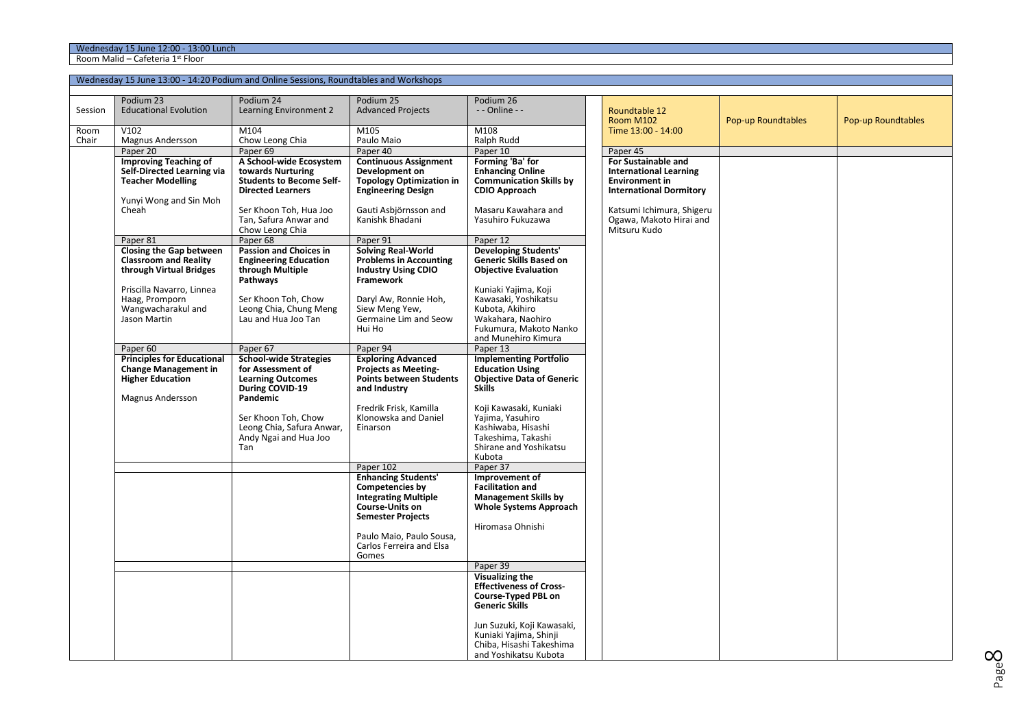Room Malid – Cafeteria 1st Floor

|         |                                                          | Wednesday 15 June 13:00 - 14:20 Podium and Online Sessions, Roundtables and Workshops |                                                      |                                              |                                                      |                    |                    |
|---------|----------------------------------------------------------|---------------------------------------------------------------------------------------|------------------------------------------------------|----------------------------------------------|------------------------------------------------------|--------------------|--------------------|
|         | Podium 23                                                | Podium 24                                                                             | Podium 25                                            | Podium 26                                    |                                                      |                    |                    |
| Session | <b>Educational Evolution</b>                             | Learning Environment 2                                                                | <b>Advanced Projects</b>                             | - - Online - -                               | Roundtable 12<br><b>Room M102</b>                    | Pop-up Roundtables | Pop-up Roundtables |
| Room    | V102                                                     | M104                                                                                  | M105                                                 | M108                                         | Time 13:00 - 14:00                                   |                    |                    |
| Chair   | <b>Magnus Andersson</b>                                  | Chow Leong Chia                                                                       | Paulo Maio<br>Paper 40                               | Ralph Rudd                                   |                                                      |                    |                    |
|         | Paper 20<br><b>Improving Teaching of</b>                 | Paper 69<br>A School-wide Ecosystem                                                   | <b>Continuous Assignment</b>                         | Paper 10<br>Forming 'Ba' for                 | Paper 45<br><b>For Sustainable and</b>               |                    |                    |
|         | Self-Directed Learning via                               | towards Nurturing                                                                     | Development on                                       | <b>Enhancing Online</b>                      | <b>International Learning</b>                        |                    |                    |
|         | <b>Teacher Modelling</b>                                 | <b>Students to Become Self-</b>                                                       | <b>Topology Optimization in</b>                      | <b>Communication Skills by</b>               | <b>Environment in</b>                                |                    |                    |
|         |                                                          | <b>Directed Learners</b>                                                              | <b>Engineering Design</b>                            | <b>CDIO Approach</b>                         | <b>International Dormitory</b>                       |                    |                    |
|         | Yunyi Wong and Sin Moh                                   |                                                                                       |                                                      |                                              |                                                      |                    |                    |
|         | Cheah                                                    | Ser Khoon Toh, Hua Joo<br>Tan, Safura Anwar and                                       | Gauti Asbjörnsson and<br>Kanishk Bhadani             | Masaru Kawahara and<br>Yasuhiro Fukuzawa     | Katsumi Ichimura, Shigeru<br>Ogawa, Makoto Hirai and |                    |                    |
|         |                                                          | Chow Leong Chia                                                                       |                                                      |                                              | Mitsuru Kudo                                         |                    |                    |
|         | Paper 81                                                 | Paper 68                                                                              | Paper 91                                             | Paper 12                                     |                                                      |                    |                    |
|         | Closing the Gap between                                  | <b>Passion and Choices in</b>                                                         | <b>Solving Real-World</b>                            | <b>Developing Students'</b>                  |                                                      |                    |                    |
|         | <b>Classroom and Reality</b>                             | <b>Engineering Education</b>                                                          | <b>Problems in Accounting</b>                        | Generic Skills Based on                      |                                                      |                    |                    |
|         | through Virtual Bridges                                  | through Multiple                                                                      | <b>Industry Using CDIO</b>                           | <b>Objective Evaluation</b>                  |                                                      |                    |                    |
|         | Priscilla Navarro, Linnea                                | Pathways                                                                              | Framework                                            | Kuniaki Yajima, Koji                         |                                                      |                    |                    |
|         | Haag, Promporn                                           | Ser Khoon Toh, Chow                                                                   | Daryl Aw, Ronnie Hoh,                                | Kawasaki, Yoshikatsu                         |                                                      |                    |                    |
|         | Wangwacharakul and                                       | Leong Chia, Chung Meng                                                                | Siew Meng Yew,                                       | Kubota, Akihiro                              |                                                      |                    |                    |
|         | Jason Martin                                             | Lau and Hua Joo Tan                                                                   | Germaine Lim and Seow                                | Wakahara, Naohiro                            |                                                      |                    |                    |
|         |                                                          |                                                                                       | Hui Ho                                               | Fukumura, Makoto Nanko                       |                                                      |                    |                    |
|         |                                                          |                                                                                       |                                                      | and Munehiro Kimura                          |                                                      |                    |                    |
|         | Paper <sub>60</sub><br><b>Principles for Educational</b> | Paper 67<br><b>School-wide Strategies</b>                                             | Paper 94<br><b>Exploring Advanced</b>                | Paper 13<br><b>Implementing Portfolio</b>    |                                                      |                    |                    |
|         | <b>Change Management in</b>                              | for Assessment of                                                                     | <b>Projects as Meeting-</b>                          | <b>Education Using</b>                       |                                                      |                    |                    |
|         | <b>Higher Education</b>                                  | <b>Learning Outcomes</b>                                                              | <b>Points between Students</b>                       | <b>Objective Data of Generic</b>             |                                                      |                    |                    |
|         |                                                          | During COVID-19                                                                       | and Industry                                         | <b>Skills</b>                                |                                                      |                    |                    |
|         | Magnus Andersson                                         | Pandemic                                                                              |                                                      |                                              |                                                      |                    |                    |
|         |                                                          | Ser Khoon Toh. Chow                                                                   | Fredrik Frisk, Kamilla<br>Klonowska and Daniel       | Koji Kawasaki, Kuniaki<br>Yajima, Yasuhiro   |                                                      |                    |                    |
|         |                                                          | Leong Chia, Safura Anwar,                                                             | Einarson                                             | Kashiwaba, Hisashi                           |                                                      |                    |                    |
|         |                                                          | Andy Ngai and Hua Joo                                                                 |                                                      | Takeshima, Takashi                           |                                                      |                    |                    |
|         |                                                          | Tan                                                                                   |                                                      | Shirane and Yoshikatsu                       |                                                      |                    |                    |
|         |                                                          |                                                                                       |                                                      | Kubota                                       |                                                      |                    |                    |
|         |                                                          |                                                                                       | Paper 102                                            | Paper 37                                     |                                                      |                    |                    |
|         |                                                          |                                                                                       | <b>Enhancing Students'</b><br><b>Competencies by</b> | Improvement of<br><b>Facilitation and</b>    |                                                      |                    |                    |
|         |                                                          |                                                                                       | <b>Integrating Multiple</b>                          | <b>Management Skills by</b>                  |                                                      |                    |                    |
|         |                                                          |                                                                                       | <b>Course-Units on</b>                               | <b>Whole Systems Approach</b>                |                                                      |                    |                    |
|         |                                                          |                                                                                       | <b>Semester Projects</b>                             |                                              |                                                      |                    |                    |
|         |                                                          |                                                                                       |                                                      | Hiromasa Ohnishi                             |                                                      |                    |                    |
|         |                                                          |                                                                                       | Paulo Maio, Paulo Sousa,<br>Carlos Ferreira and Elsa |                                              |                                                      |                    |                    |
|         |                                                          |                                                                                       | Gomes                                                |                                              |                                                      |                    |                    |
|         |                                                          |                                                                                       |                                                      | Paper 39                                     |                                                      |                    |                    |
|         |                                                          |                                                                                       |                                                      | <b>Visualizing the</b>                       |                                                      |                    |                    |
|         |                                                          |                                                                                       |                                                      | <b>Effectiveness of Cross-</b>               |                                                      |                    |                    |
|         |                                                          |                                                                                       |                                                      | Course-Typed PBL on<br><b>Generic Skills</b> |                                                      |                    |                    |
|         |                                                          |                                                                                       |                                                      |                                              |                                                      |                    |                    |
|         |                                                          |                                                                                       |                                                      | Jun Suzuki, Koji Kawasaki,                   |                                                      |                    |                    |
|         |                                                          |                                                                                       |                                                      | Kuniaki Yajima, Shinji                       |                                                      |                    |                    |
|         |                                                          |                                                                                       |                                                      | Chiba, Hisashi Takeshima                     |                                                      |                    |                    |
|         |                                                          |                                                                                       |                                                      | and Yoshikatsu Kubota                        |                                                      |                    |                    |